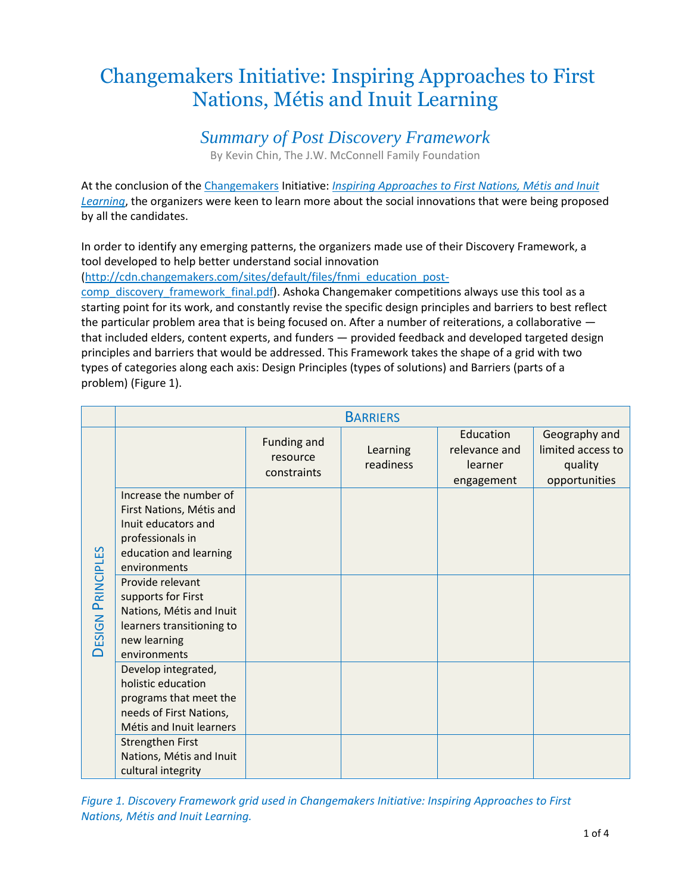# Changemakers Initiative: Inspiring Approaches to First Nations, Métis and Inuit Learning

### *Summary of Post Discovery Framework*

By Kevin Chin, The J.W. McConnell Family Foundation

At the conclusion of the [Changemakers](http://www.changemakers.com/) Initiative: *[Inspiring Approaches to First Nations, Métis and Inuit](http://www.changemakers.com/fnmi-learning)  [Learning](http://www.changemakers.com/fnmi-learning)*, the organizers were keen to learn more about the social innovations that were being proposed by all the candidates.

In order to identify any emerging patterns, the organizers made use of their Discovery Framework, a tool developed to help better understand social innovation

[\(http://cdn.changemakers.com/sites/default/files/fnmi\\_education\\_post-](http://cdn.changemakers.com/sites/default/files/fnmi_education_post-comp_discovery_framework_final.pdf)

[comp\\_discovery\\_framework\\_final.pdf\)](http://cdn.changemakers.com/sites/default/files/fnmi_education_post-comp_discovery_framework_final.pdf). Ashoka Changemaker competitions always use this tool as a starting point for its work, and constantly revise the specific design principles and barriers to best reflect the particular problem area that is being focused on. After a number of reiterations, a collaborative that included elders, content experts, and funders — provided feedback and developed targeted design principles and barriers that would be addressed. This Framework takes the shape of a grid with two types of categories along each axis: Design Principles (types of solutions) and Barriers (parts of a problem) (Figure 1).

|                          | <b>BARRIERS</b>                                                                                                                         |                                        |                       |                                                     |                                                                |  |
|--------------------------|-----------------------------------------------------------------------------------------------------------------------------------------|----------------------------------------|-----------------------|-----------------------------------------------------|----------------------------------------------------------------|--|
| <b>DESIGN PRINCIPLES</b> |                                                                                                                                         | Funding and<br>resource<br>constraints | Learning<br>readiness | Education<br>relevance and<br>learner<br>engagement | Geography and<br>limited access to<br>quality<br>opportunities |  |
|                          | Increase the number of<br>First Nations, Métis and<br>Inuit educators and<br>professionals in<br>education and learning<br>environments |                                        |                       |                                                     |                                                                |  |
|                          | Provide relevant<br>supports for First<br>Nations, Métis and Inuit<br>learners transitioning to<br>new learning<br>environments         |                                        |                       |                                                     |                                                                |  |
|                          | Develop integrated,<br>holistic education<br>programs that meet the<br>needs of First Nations,<br>Métis and Inuit learners              |                                        |                       |                                                     |                                                                |  |
|                          | Strengthen First<br>Nations, Métis and Inuit<br>cultural integrity                                                                      |                                        |                       |                                                     |                                                                |  |

*Figure 1. Discovery Framework grid used in Changemakers Initiative: Inspiring Approaches to First Nations, Métis and Inuit Learning.*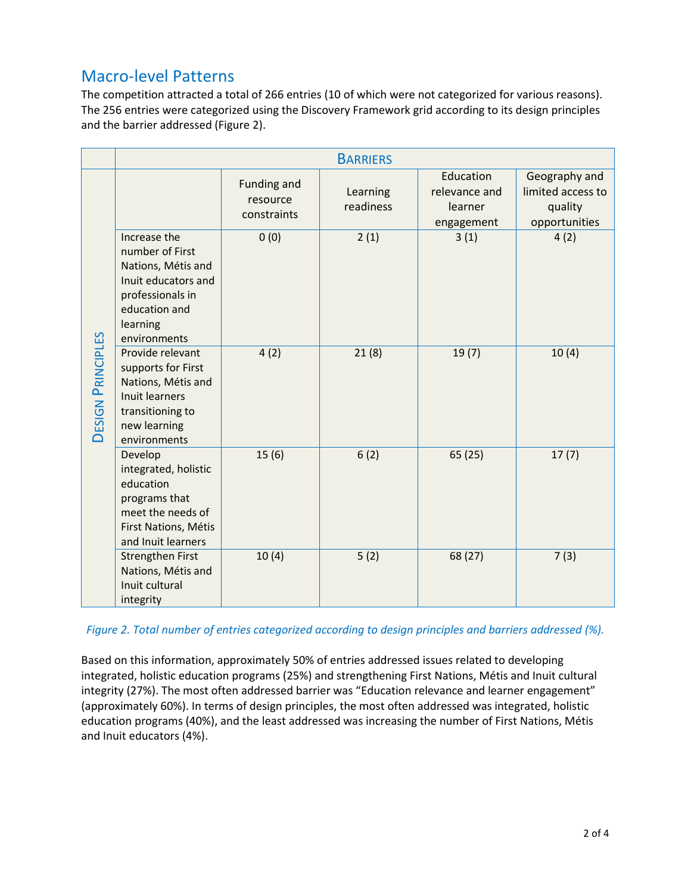# Macro-level Patterns

The competition attracted a total of 266 entries (10 of which were not categorized for various reasons). The 256 entries were categorized using the Discovery Framework grid according to its design principles and the barrier addressed (Figure 2).

|                          | <b>BARRIERS</b>                                                                                                                               |                                               |                       |                                                     |                                                                |  |  |
|--------------------------|-----------------------------------------------------------------------------------------------------------------------------------------------|-----------------------------------------------|-----------------------|-----------------------------------------------------|----------------------------------------------------------------|--|--|
| <b>DESIGN PRINCIPLES</b> |                                                                                                                                               | <b>Funding and</b><br>resource<br>constraints | Learning<br>readiness | Education<br>relevance and<br>learner<br>engagement | Geography and<br>limited access to<br>quality<br>opportunities |  |  |
|                          | Increase the<br>number of First<br>Nations, Métis and<br>Inuit educators and<br>professionals in<br>education and<br>learning<br>environments | 0(0)                                          | 2(1)                  | 3(1)                                                | 4(2)                                                           |  |  |
|                          | Provide relevant<br>supports for First<br>Nations, Métis and<br>Inuit learners<br>transitioning to<br>new learning<br>environments            | 4(2)                                          | 21(8)                 | 19(7)                                               | 10(4)                                                          |  |  |
|                          | Develop<br>integrated, holistic<br>education<br>programs that<br>meet the needs of<br>First Nations, Métis<br>and Inuit learners              | 15(6)                                         | 6(2)                  | 65 (25)                                             | 17(7)                                                          |  |  |
|                          | <b>Strengthen First</b><br>Nations, Métis and<br>Inuit cultural<br>integrity                                                                  | 10(4)                                         | 5(2)                  | 68 (27)                                             | 7(3)                                                           |  |  |

*Figure 2. Total number of entries categorized according to design principles and barriers addressed (%).*

Based on this information, approximately 50% of entries addressed issues related to developing integrated, holistic education programs (25%) and strengthening First Nations, Métis and Inuit cultural integrity (27%). The most often addressed barrier was "Education relevance and learner engagement" (approximately 60%). In terms of design principles, the most often addressed was integrated, holistic education programs (40%), and the least addressed was increasing the number of First Nations, Métis and Inuit educators (4%).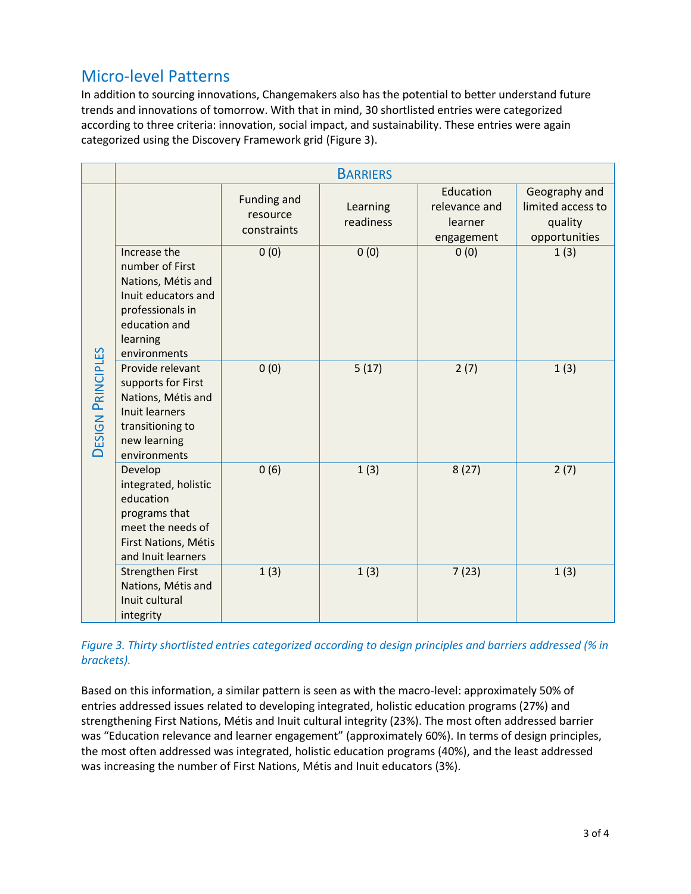# Micro-level Patterns

In addition to sourcing innovations, Changemakers also has the potential to better understand future trends and innovations of tomorrow. With that in mind, 30 shortlisted entries were categorized according to three criteria: innovation, social impact, and sustainability. These entries were again categorized using the Discovery Framework grid (Figure 3).

|                          | <b>BARRIERS</b>                                                                                                                               |                                               |                       |                                                     |                                                                |  |  |
|--------------------------|-----------------------------------------------------------------------------------------------------------------------------------------------|-----------------------------------------------|-----------------------|-----------------------------------------------------|----------------------------------------------------------------|--|--|
| <b>DESIGN PRINCIPLES</b> |                                                                                                                                               | <b>Funding and</b><br>resource<br>constraints | Learning<br>readiness | Education<br>relevance and<br>learner<br>engagement | Geography and<br>limited access to<br>quality<br>opportunities |  |  |
|                          | Increase the<br>number of First<br>Nations, Métis and<br>Inuit educators and<br>professionals in<br>education and<br>learning<br>environments | 0(0)                                          | 0(0)                  | 0(0)                                                | 1(3)                                                           |  |  |
|                          | Provide relevant<br>supports for First<br>Nations, Métis and<br>Inuit learners<br>transitioning to<br>new learning<br>environments            | 0(0)                                          | 5(17)                 | 2(7)                                                | 1(3)                                                           |  |  |
|                          | Develop<br>integrated, holistic<br>education<br>programs that<br>meet the needs of<br>First Nations, Métis<br>and Inuit learners              | 0(6)                                          | 1(3)                  | 8(27)                                               | 2(7)                                                           |  |  |
|                          | <b>Strengthen First</b><br>Nations, Métis and<br>Inuit cultural<br>integrity                                                                  | 1(3)                                          | 1(3)                  | 7(23)                                               | 1(3)                                                           |  |  |

#### *Figure 3. Thirty shortlisted entries categorized according to design principles and barriers addressed (% in brackets).*

Based on this information, a similar pattern is seen as with the macro-level: approximately 50% of entries addressed issues related to developing integrated, holistic education programs (27%) and strengthening First Nations, Métis and Inuit cultural integrity (23%). The most often addressed barrier was "Education relevance and learner engagement" (approximately 60%). In terms of design principles, the most often addressed was integrated, holistic education programs (40%), and the least addressed was increasing the number of First Nations, Métis and Inuit educators (3%).